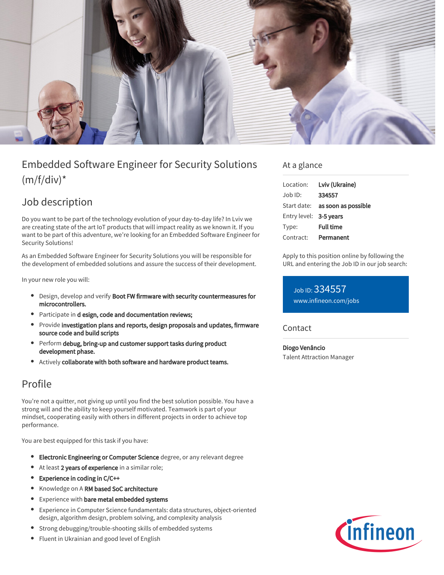

# Embedded Software Engineer for Security Solutions  $(m/f/div)^*$

## Job description

Do you want to be part of the technology evolution of your day-to-day life? In Lviv we are creating state of the art IoT products that will impact reality as we known it. If you want to be part of this adventure, we're looking for an Embedded Software Engineer for Security Solutions!

As an Embedded Software Engineer for Security Solutions you will be responsible for the development of embedded solutions and assure the success of their development.

In your new role you will:

- Design, develop and verify Boot FW firmware with security countermeasures for microcontrollers.
- Participate in d esign, code and documentation reviews;
- **•** Provide investigation plans and reports, design proposals and updates, firmware source code and build scripts
- Perform debug, bring-up and customer support tasks during product development phase.
- Actively collaborate with both software and hardware product teams.

### Profile

You're not a quitter, not giving up until you find the best solution possible. You have a strong will and the ability to keep yourself motivated. Teamwork is part of your mindset, cooperating easily with others in different projects in order to achieve top performance.

You are best equipped for this task if you have:

- **Electronic Engineering or Computer Science** degree, or any relevant degree
- At least 2 years of experience in a similar role;
- Experience in coding in C/C++
- $\bullet$ Knowledge on A RM based SoC architecture
- **•** Experience with bare metal embedded systems
- Experience in Computer Science fundamentals: data structures, object-oriented design, algorithm design, problem solving, and complexity analysis
- Strong debugging/trouble-shooting skills of embedded systems
- Fluent in Ukrainian and good level of English

#### At a glance

| Location:              | Lviv (Ukraine)                  |
|------------------------|---------------------------------|
| $Job$ ID:              | 334557                          |
|                        | Start date: as soon as possible |
| Entry level: 3-5 years |                                 |
| Type:                  | <b>Full time</b>                |
| Contract:              | Permanent                       |

Apply to this position online by following the URL and entering the Job ID in our job search:

Job ID: 334557 [www.infineon.com/jobs](https://www.infineon.com/jobs)

Contact

Diogo Venâncio Talent Attraction Manager